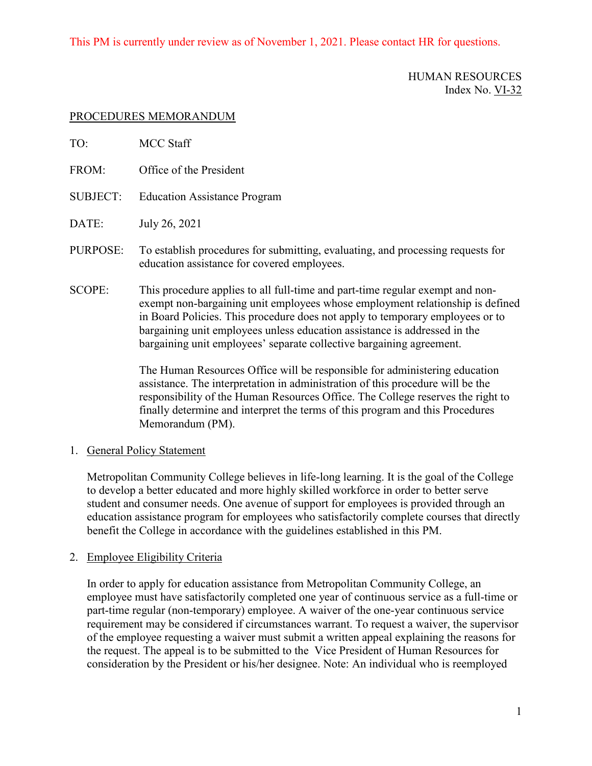## This PM is currently under review as of November 1, 2021. Please contact HR for questions.

### HUMAN RESOURCES Index No. VI-32

### PROCEDURES MEMORANDUM

| TO:             | <b>MCC Staff</b>                                                                                                                                                                                                                                                                                                                                                                                     |
|-----------------|------------------------------------------------------------------------------------------------------------------------------------------------------------------------------------------------------------------------------------------------------------------------------------------------------------------------------------------------------------------------------------------------------|
| FROM:           | Office of the President                                                                                                                                                                                                                                                                                                                                                                              |
| <b>SUBJECT:</b> | <b>Education Assistance Program</b>                                                                                                                                                                                                                                                                                                                                                                  |
| DATE:           | July 26, 2021                                                                                                                                                                                                                                                                                                                                                                                        |
| PURPOSE:        | To establish procedures for submitting, evaluating, and processing requests for<br>education assistance for covered employees.                                                                                                                                                                                                                                                                       |
| <b>SCOPE:</b>   | This procedure applies to all full-time and part-time regular exempt and non-<br>exempt non-bargaining unit employees whose employment relationship is defined<br>in Board Policies. This procedure does not apply to temporary employees or to<br>bargaining unit employees unless education assistance is addressed in the<br>bargaining unit employees' separate collective bargaining agreement. |

The Human Resources Office will be responsible for administering education assistance. The interpretation in administration of this procedure will be the responsibility of the Human Resources Office. The College reserves the right to finally determine and interpret the terms of this program and this Procedures Memorandum (PM).

# 1. General Policy Statement

Metropolitan Community College believes in life-long learning. It is the goal of the College to develop a better educated and more highly skilled workforce in order to better serve student and consumer needs. One avenue of support for employees is provided through an education assistance program for employees who satisfactorily complete courses that directly benefit the College in accordance with the guidelines established in this PM.

#### 2. Employee Eligibility Criteria

In order to apply for education assistance from Metropolitan Community College, an employee must have satisfactorily completed one year of continuous service as a full-time or part-time regular (non-temporary) employee. A waiver of the one-year continuous service requirement may be considered if circumstances warrant. To request a waiver, the supervisor of the employee requesting a waiver must submit a written appeal explaining the reasons for the request. The appeal is to be submitted to the Vice President of Human Resources for consideration by the President or his/her designee. Note: An individual who is reemployed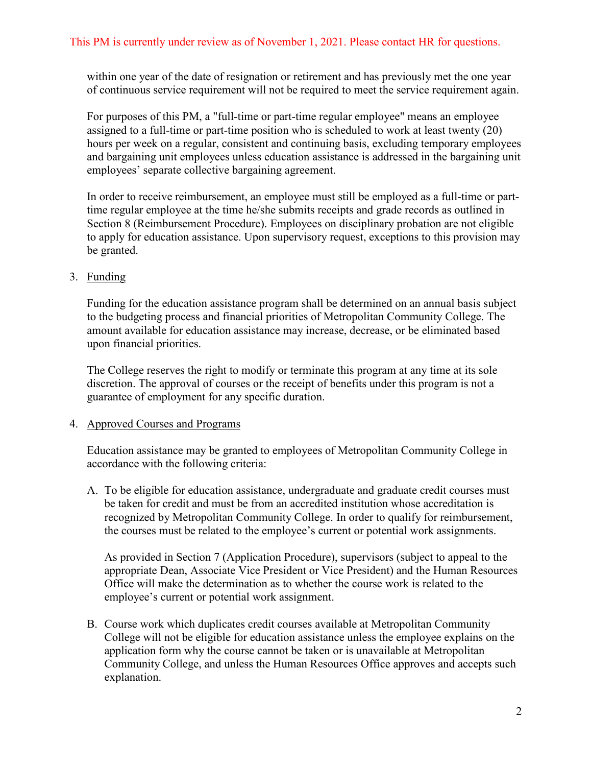within one year of the date of resignation or retirement and has previously met the one year of continuous service requirement will not be required to meet the service requirement again.

For purposes of this PM, a "full-time or part-time regular employee" means an employee assigned to a full-time or part-time position who is scheduled to work at least twenty (20) hours per week on a regular, consistent and continuing basis, excluding temporary employees and bargaining unit employees unless education assistance is addressed in the bargaining unit employees' separate collective bargaining agreement.

In order to receive reimbursement, an employee must still be employed as a full-time or parttime regular employee at the time he/she submits receipts and grade records as outlined in Section 8 (Reimbursement Procedure). Employees on disciplinary probation are not eligible to apply for education assistance. Upon supervisory request, exceptions to this provision may be granted.

## 3. Funding

Funding for the education assistance program shall be determined on an annual basis subject to the budgeting process and financial priorities of Metropolitan Community College. The amount available for education assistance may increase, decrease, or be eliminated based upon financial priorities.

The College reserves the right to modify or terminate this program at any time at its sole discretion. The approval of courses or the receipt of benefits under this program is not a guarantee of employment for any specific duration.

#### 4. Approved Courses and Programs

Education assistance may be granted to employees of Metropolitan Community College in accordance with the following criteria:

A. To be eligible for education assistance, undergraduate and graduate credit courses must be taken for credit and must be from an accredited institution whose accreditation is recognized by Metropolitan Community College. In order to qualify for reimbursement, the courses must be related to the employee's current or potential work assignments.

As provided in Section 7 (Application Procedure), supervisors (subject to appeal to the appropriate Dean, Associate Vice President or Vice President) and the Human Resources Office will make the determination as to whether the course work is related to the employee's current or potential work assignment.

B. Course work which duplicates credit courses available at Metropolitan Community College will not be eligible for education assistance unless the employee explains on the application form why the course cannot be taken or is unavailable at Metropolitan Community College, and unless the Human Resources Office approves and accepts such explanation.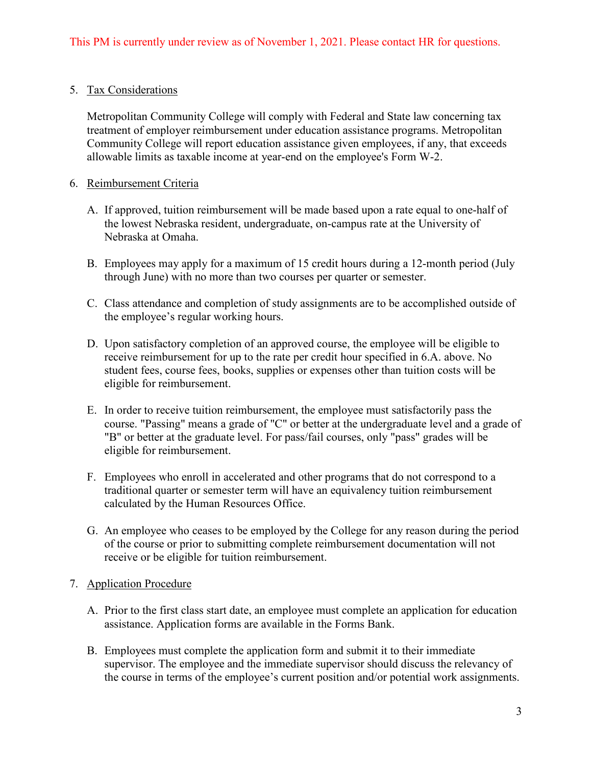# 5. Tax Considerations

Metropolitan Community College will comply with Federal and State law concerning tax treatment of employer reimbursement under education assistance programs. Metropolitan Community College will report education assistance given employees, if any, that exceeds allowable limits as taxable income at year-end on the employee's Form W-2.

### 6. Reimbursement Criteria

- A. If approved, tuition reimbursement will be made based upon a rate equal to one-half of the lowest Nebraska resident, undergraduate, on-campus rate at the University of Nebraska at Omaha.
- B. Employees may apply for a maximum of 15 credit hours during a 12-month period (July through June) with no more than two courses per quarter or semester.
- C. Class attendance and completion of study assignments are to be accomplished outside of the employee's regular working hours.
- D. Upon satisfactory completion of an approved course, the employee will be eligible to receive reimbursement for up to the rate per credit hour specified in 6.A. above. No student fees, course fees, books, supplies or expenses other than tuition costs will be eligible for reimbursement.
- E. In order to receive tuition reimbursement, the employee must satisfactorily pass the course. "Passing" means a grade of "C" or better at the undergraduate level and a grade of "B" or better at the graduate level. For pass/fail courses, only "pass" grades will be eligible for reimbursement.
- F. Employees who enroll in accelerated and other programs that do not correspond to a traditional quarter or semester term will have an equivalency tuition reimbursement calculated by the Human Resources Office.
- G. An employee who ceases to be employed by the College for any reason during the period of the course or prior to submitting complete reimbursement documentation will not receive or be eligible for tuition reimbursement.

#### 7. Application Procedure

- A. Prior to the first class start date, an employee must complete an application for education assistance. Application forms are available in the Forms Bank.
- B. Employees must complete the application form and submit it to their immediate supervisor. The employee and the immediate supervisor should discuss the relevancy of the course in terms of the employee's current position and/or potential work assignments.